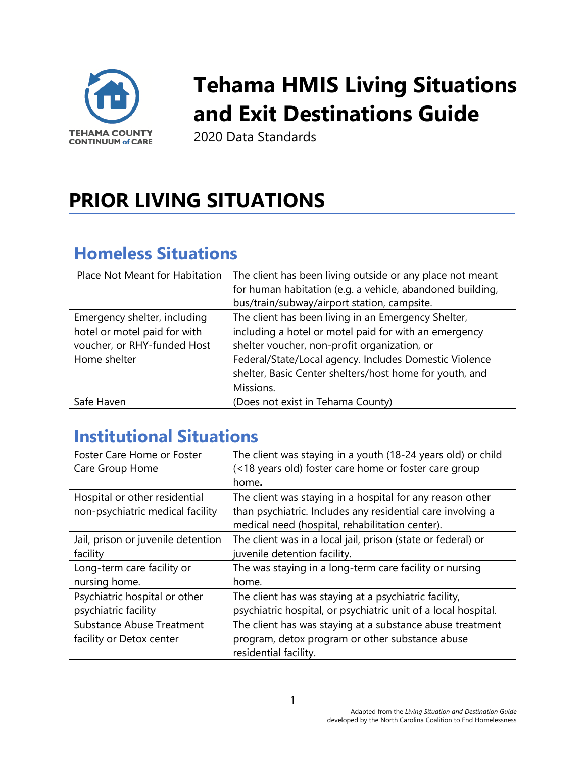

# **Tehama HMIS Living Situations and Exit Destinations Guide**

2020 Data Standards

## **PRIOR LIVING SITUATIONS**

## **Homeless Situations**

| Place Not Meant for Habitation                                                                              | The client has been living outside or any place not meant<br>for human habitation (e.g. a vehicle, abandoned building,<br>bus/train/subway/airport station, campsite.                                                                                                                          |
|-------------------------------------------------------------------------------------------------------------|------------------------------------------------------------------------------------------------------------------------------------------------------------------------------------------------------------------------------------------------------------------------------------------------|
| Emergency shelter, including<br>hotel or motel paid for with<br>voucher, or RHY-funded Host<br>Home shelter | The client has been living in an Emergency Shelter,<br>including a hotel or motel paid for with an emergency<br>shelter voucher, non-profit organization, or<br>Federal/State/Local agency. Includes Domestic Violence<br>shelter, Basic Center shelters/host home for youth, and<br>Missions. |
| Safe Haven                                                                                                  | (Does not exist in Tehama County)                                                                                                                                                                                                                                                              |

#### **Institutional Situations**

| Foster Care Home or Foster         | The client was staying in a youth (18-24 years old) or child   |
|------------------------------------|----------------------------------------------------------------|
| Care Group Home                    | (<18 years old) foster care home or foster care group          |
|                                    | home.                                                          |
| Hospital or other residential      | The client was staying in a hospital for any reason other      |
| non-psychiatric medical facility   | than psychiatric. Includes any residential care involving a    |
|                                    | medical need (hospital, rehabilitation center).                |
| Jail, prison or juvenile detention | The client was in a local jail, prison (state or federal) or   |
| facility                           | juvenile detention facility.                                   |
| Long-term care facility or         | The was staying in a long-term care facility or nursing        |
| nursing home.                      | home.                                                          |
| Psychiatric hospital or other      | The client has was staying at a psychiatric facility,          |
| psychiatric facility               | psychiatric hospital, or psychiatric unit of a local hospital. |
| <b>Substance Abuse Treatment</b>   | The client has was staying at a substance abuse treatment      |
| facility or Detox center           | program, detox program or other substance abuse                |
|                                    | residential facility.                                          |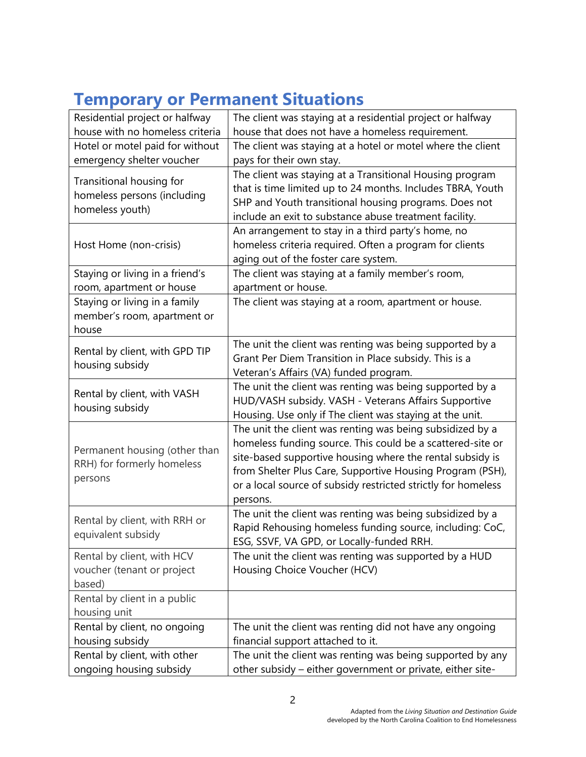| <b>Temporary or Permanent Situations</b> |  |  |
|------------------------------------------|--|--|
|------------------------------------------|--|--|

| Residential project or halfway                                             | The client was staying at a residential project or halfway                                                                                                                                                                                                                                                                     |
|----------------------------------------------------------------------------|--------------------------------------------------------------------------------------------------------------------------------------------------------------------------------------------------------------------------------------------------------------------------------------------------------------------------------|
| house with no homeless criteria                                            | house that does not have a homeless requirement.                                                                                                                                                                                                                                                                               |
| Hotel or motel paid for without                                            | The client was staying at a hotel or motel where the client                                                                                                                                                                                                                                                                    |
| emergency shelter voucher                                                  | pays for their own stay.                                                                                                                                                                                                                                                                                                       |
| Transitional housing for<br>homeless persons (including<br>homeless youth) | The client was staying at a Transitional Housing program<br>that is time limited up to 24 months. Includes TBRA, Youth<br>SHP and Youth transitional housing programs. Does not<br>include an exit to substance abuse treatment facility.                                                                                      |
| Host Home (non-crisis)                                                     | An arrangement to stay in a third party's home, no<br>homeless criteria required. Often a program for clients<br>aging out of the foster care system.                                                                                                                                                                          |
| Staying or living in a friend's<br>room, apartment or house                | The client was staying at a family member's room,<br>apartment or house.                                                                                                                                                                                                                                                       |
| Staying or living in a family<br>member's room, apartment or<br>house      | The client was staying at a room, apartment or house.                                                                                                                                                                                                                                                                          |
| Rental by client, with GPD TIP<br>housing subsidy                          | The unit the client was renting was being supported by a<br>Grant Per Diem Transition in Place subsidy. This is a<br>Veteran's Affairs (VA) funded program.                                                                                                                                                                    |
| Rental by client, with VASH<br>housing subsidy                             | The unit the client was renting was being supported by a<br>HUD/VASH subsidy. VASH - Veterans Affairs Supportive<br>Housing. Use only if The client was staying at the unit.                                                                                                                                                   |
| Permanent housing (other than<br>RRH) for formerly homeless<br>persons     | The unit the client was renting was being subsidized by a<br>homeless funding source. This could be a scattered-site or<br>site-based supportive housing where the rental subsidy is<br>from Shelter Plus Care, Supportive Housing Program (PSH),<br>or a local source of subsidy restricted strictly for homeless<br>persons. |
| Rental by client, with RRH or<br>equivalent subsidy                        | The unit the client was renting was being subsidized by a<br>Rapid Rehousing homeless funding source, including: CoC,<br>ESG, SSVF, VA GPD, or Locally-funded RRH.                                                                                                                                                             |
| Rental by client, with HCV<br>voucher (tenant or project<br>based)         | The unit the client was renting was supported by a HUD<br>Housing Choice Voucher (HCV)                                                                                                                                                                                                                                         |
| Rental by client in a public<br>housing unit                               |                                                                                                                                                                                                                                                                                                                                |
| Rental by client, no ongoing<br>housing subsidy                            | The unit the client was renting did not have any ongoing<br>financial support attached to it.                                                                                                                                                                                                                                  |
| Rental by client, with other<br>ongoing housing subsidy                    | The unit the client was renting was being supported by any<br>other subsidy - either government or private, either site-                                                                                                                                                                                                       |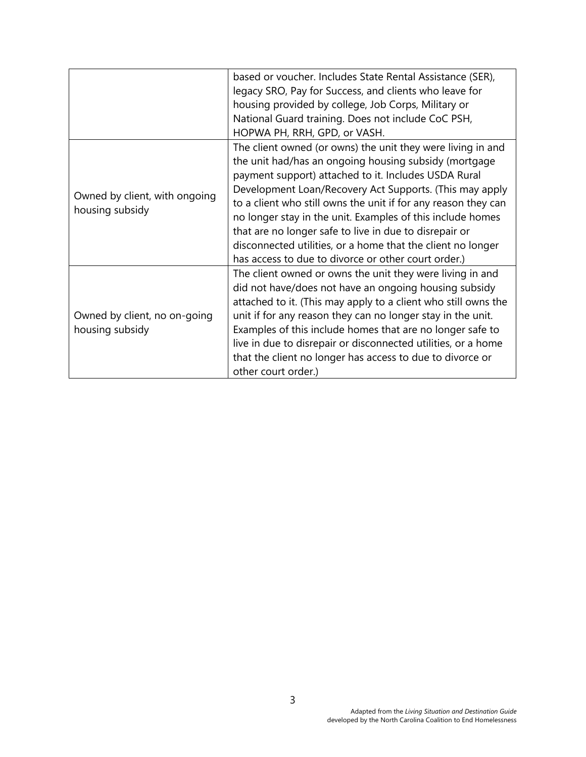|                                                 | based or voucher. Includes State Rental Assistance (SER),      |
|-------------------------------------------------|----------------------------------------------------------------|
|                                                 | legacy SRO, Pay for Success, and clients who leave for         |
|                                                 | housing provided by college, Job Corps, Military or            |
|                                                 | National Guard training. Does not include CoC PSH,             |
|                                                 | HOPWA PH, RRH, GPD, or VASH.                                   |
|                                                 | The client owned (or owns) the unit they were living in and    |
|                                                 | the unit had/has an ongoing housing subsidy (mortgage          |
|                                                 | payment support) attached to it. Includes USDA Rural           |
|                                                 | Development Loan/Recovery Act Supports. (This may apply        |
| Owned by client, with ongoing                   | to a client who still owns the unit if for any reason they can |
| housing subsidy                                 | no longer stay in the unit. Examples of this include homes     |
|                                                 | that are no longer safe to live in due to disrepair or         |
|                                                 | disconnected utilities, or a home that the client no longer    |
|                                                 | has access to due to divorce or other court order.)            |
| Owned by client, no on-going<br>housing subsidy | The client owned or owns the unit they were living in and      |
|                                                 | did not have/does not have an ongoing housing subsidy          |
|                                                 | attached to it. (This may apply to a client who still owns the |
|                                                 | unit if for any reason they can no longer stay in the unit.    |
|                                                 | Examples of this include homes that are no longer safe to      |
|                                                 | live in due to disrepair or disconnected utilities, or a home  |
|                                                 | that the client no longer has access to due to divorce or      |
|                                                 | other court order.)                                            |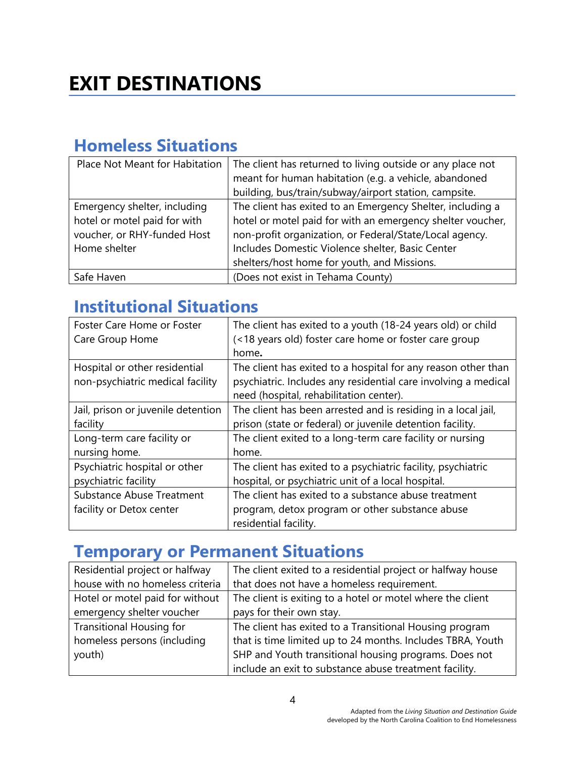#### **Homeless Situations**

| Place Not Meant for Habitation                                                                              | The client has returned to living outside or any place not<br>meant for human habitation (e.g. a vehicle, abandoned<br>building, bus/train/subway/airport station, campsite.                                                                                                           |
|-------------------------------------------------------------------------------------------------------------|----------------------------------------------------------------------------------------------------------------------------------------------------------------------------------------------------------------------------------------------------------------------------------------|
| Emergency shelter, including<br>hotel or motel paid for with<br>voucher, or RHY-funded Host<br>Home shelter | The client has exited to an Emergency Shelter, including a<br>hotel or motel paid for with an emergency shelter voucher,<br>non-profit organization, or Federal/State/Local agency.<br>Includes Domestic Violence shelter, Basic Center<br>shelters/host home for youth, and Missions. |
| Safe Haven                                                                                                  | (Does not exist in Tehama County)                                                                                                                                                                                                                                                      |

## **Institutional Situations**

| Foster Care Home or Foster         | The client has exited to a youth (18-24 years old) or child    |
|------------------------------------|----------------------------------------------------------------|
| Care Group Home                    | (<18 years old) foster care home or foster care group          |
|                                    | home.                                                          |
| Hospital or other residential      | The client has exited to a hospital for any reason other than  |
| non-psychiatric medical facility   | psychiatric. Includes any residential care involving a medical |
|                                    | need (hospital, rehabilitation center).                        |
| Jail, prison or juvenile detention | The client has been arrested and is residing in a local jail,  |
| facility                           | prison (state or federal) or juvenile detention facility.      |
| Long-term care facility or         | The client exited to a long-term care facility or nursing      |
| nursing home.                      | home.                                                          |
| Psychiatric hospital or other      | The client has exited to a psychiatric facility, psychiatric   |
| psychiatric facility               | hospital, or psychiatric unit of a local hospital.             |
| <b>Substance Abuse Treatment</b>   | The client has exited to a substance abuse treatment           |
| facility or Detox center           | program, detox program or other substance abuse                |
|                                    | residential facility.                                          |

## **Temporary or Permanent Situations**

| Residential project or halfway  | The client exited to a residential project or halfway house |
|---------------------------------|-------------------------------------------------------------|
| house with no homeless criteria | that does not have a homeless requirement.                  |
| Hotel or motel paid for without | The client is exiting to a hotel or motel where the client  |
| emergency shelter voucher       | pays for their own stay.                                    |
| <b>Transitional Housing for</b> | The client has exited to a Transitional Housing program     |
| homeless persons (including     | that is time limited up to 24 months. Includes TBRA, Youth  |
| youth)                          | SHP and Youth transitional housing programs. Does not       |
|                                 | include an exit to substance abuse treatment facility.      |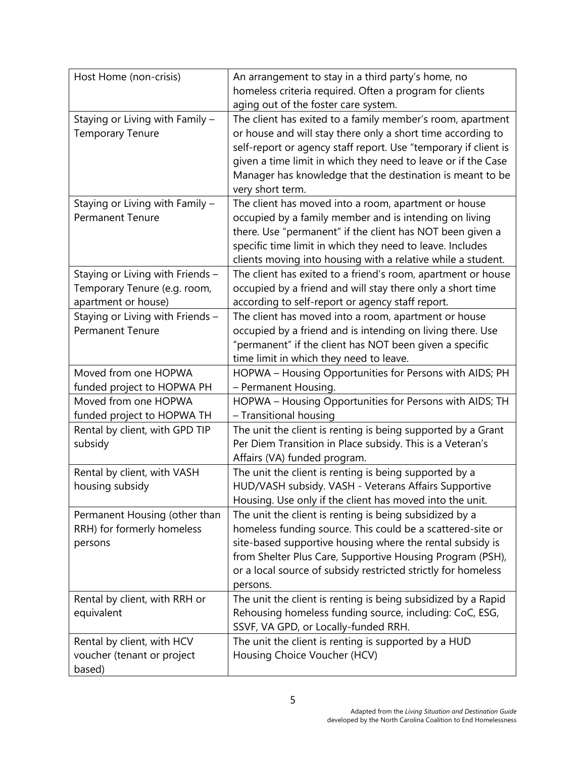| Host Home (non-crisis)                                                                  | An arrangement to stay in a third party's home, no<br>homeless criteria required. Often a program for clients<br>aging out of the foster care system.                                                                                                                                                                                          |
|-----------------------------------------------------------------------------------------|------------------------------------------------------------------------------------------------------------------------------------------------------------------------------------------------------------------------------------------------------------------------------------------------------------------------------------------------|
| Staying or Living with Family -<br><b>Temporary Tenure</b>                              | The client has exited to a family member's room, apartment<br>or house and will stay there only a short time according to<br>self-report or agency staff report. Use "temporary if client is<br>given a time limit in which they need to leave or if the Case<br>Manager has knowledge that the destination is meant to be<br>very short term. |
| Staying or Living with Family -<br><b>Permanent Tenure</b>                              | The client has moved into a room, apartment or house<br>occupied by a family member and is intending on living<br>there. Use "permanent" if the client has NOT been given a<br>specific time limit in which they need to leave. Includes<br>clients moving into housing with a relative while a student.                                       |
| Staying or Living with Friends -<br>Temporary Tenure (e.g. room,<br>apartment or house) | The client has exited to a friend's room, apartment or house<br>occupied by a friend and will stay there only a short time<br>according to self-report or agency staff report.                                                                                                                                                                 |
| Staying or Living with Friends -<br><b>Permanent Tenure</b>                             | The client has moved into a room, apartment or house<br>occupied by a friend and is intending on living there. Use<br>"permanent" if the client has NOT been given a specific<br>time limit in which they need to leave.                                                                                                                       |
| Moved from one HOPWA<br>funded project to HOPWA PH                                      | HOPWA - Housing Opportunities for Persons with AIDS; PH<br>- Permanent Housing.                                                                                                                                                                                                                                                                |
| Moved from one HOPWA<br>funded project to HOPWA TH                                      | HOPWA - Housing Opportunities for Persons with AIDS; TH<br>- Transitional housing                                                                                                                                                                                                                                                              |
| Rental by client, with GPD TIP<br>subsidy                                               | The unit the client is renting is being supported by a Grant<br>Per Diem Transition in Place subsidy. This is a Veteran's<br>Affairs (VA) funded program.                                                                                                                                                                                      |
| Rental by client, with VASH<br>housing subsidy                                          | The unit the client is renting is being supported by a<br>HUD/VASH subsidy. VASH - Veterans Affairs Supportive<br>Housing. Use only if the client has moved into the unit.                                                                                                                                                                     |
| Permanent Housing (other than<br>RRH) for formerly homeless<br>persons                  | The unit the client is renting is being subsidized by a<br>homeless funding source. This could be a scattered-site or<br>site-based supportive housing where the rental subsidy is<br>from Shelter Plus Care, Supportive Housing Program (PSH),<br>or a local source of subsidy restricted strictly for homeless<br>persons.                   |
| Rental by client, with RRH or<br>equivalent                                             | The unit the client is renting is being subsidized by a Rapid<br>Rehousing homeless funding source, including: CoC, ESG,<br>SSVF, VA GPD, or Locally-funded RRH.                                                                                                                                                                               |
| Rental by client, with HCV<br>voucher (tenant or project<br>based)                      | The unit the client is renting is supported by a HUD<br>Housing Choice Voucher (HCV)                                                                                                                                                                                                                                                           |